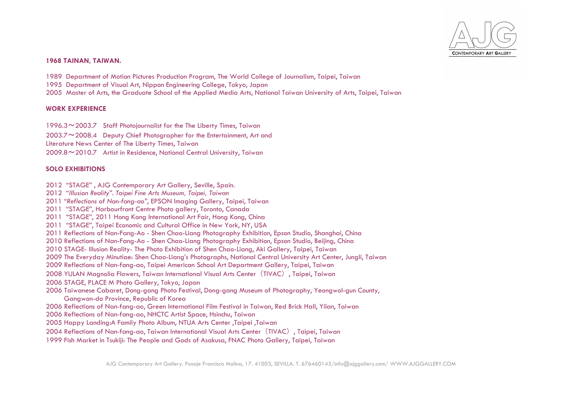

# **1968 TAINAN, TAIWAN.**

1989 Department of Motion Pictures Production Program, The World College of Journalism, Taipei, Taiwan

- 1995 Department of Visual Art, Nippon Engineering College, Tokyo, Japan
- 2005 Master of Arts, the Graduate School of the Applied Media Arts, National Taiwan University of Arts, Taipei, Taiwan

### **WORK EXPERIENCE**

1996.3~2003.7 Staff Photojournalist for the The Liberty Times, Taiwan

2003.7~2008.4 Deputy Chief Photographer for the Entertainment, Art and

Literature News Center of The Liberty Times, Taiwan

2009.8~2010.7 Artist in Residence, National Central University, Taiwan

## **SOLO EXHIBITIONS**

- 2012 "STAGE" , AJG Contemporary Art Gallery, Seville, Spain.
- 2012 "*Illusion Reality". Taipei Fine Arts Museum, Taipei, Taiwan*
- 2011 "*Reflections of Nan-fang-ao"*, EPSON Imaging Gallery, Taipei, Taiwan
- 2011 "STAGE", Harbourfront Centre Photo gallery, Toronto, Canada
- 2011 "STAGE", 2011 Hong Kong International Art Fair, Hong Kong, China
- 2011 "STAGE", Taipei Economic and Cultural Office in New York, NY, USA
- 2011 Reflections of Nan-Fang-Ao Shen Chao-Liang Photography Exhibition, Epson Studio, Shanghai, China
- 2010 Reflections of Nan-Fang-Ao Shen Chao-Liang Photography Exhibition, Epson Studio, Beijing, China
- 2010 STAGE- Illusion Reality- The Photo Exhibition of Shen Chao-Liang, Aki Gallery, Taipei, Taiwan
- 2009 The Everyday Minutiae: Shen Chao-Liang's Photographs, National Central University Art Center, Jungli, Taiwan
- 2009 Reflections of Nan-fang-ao, Taipei American School Art Department Gallery, Taipei, Taiwan
- 2008 YULAN Magnolia Flowers, Taiwan International Visual Arts Center (TIVAC), Taipei, Taiwan
- 2006 STAGE, PLACE M Photo Gallery, Tokyo, Japan
- 2006 Taiwanese Cabaret, Dong-gang Photo Festival, Dong-gang Museum of Photography, Yeongwol-gun County, Gangwon-do Province, Republic of Korea
- 2006 Reflections of Nan-fang-ao, Green International Film Festival in Taiwan, Red Brick Hall, Yilan, Taiwan
- 2006 Reflections of Nan-fang-ao, NHCTC Artist Space, Hsinchu, Taiwan
- 2005 Happy Landing:A Family Photo Album, NTUA Arts Center ,Taipei ,Taiwan
- 2004 Reflections of Nan-fang-ao, Taiwan International Visual Arts Center(TIVAC), Taipei, Taiwan
- 1999 Fish Market in Tsukiji: The People and Gods of Asakusa, FNAC Photo Gallery, Taipei, Taiwan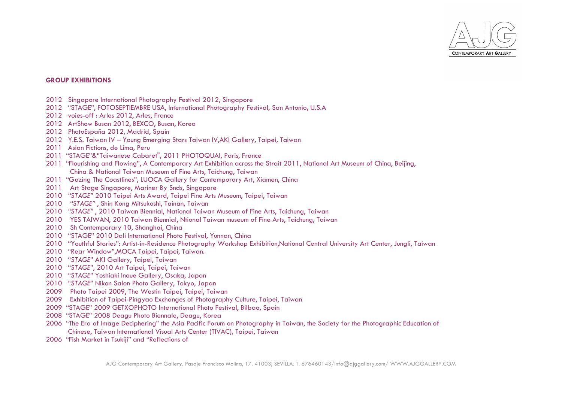

#### **GROUP EXHIBITIONS**

- 2012 Singapore International Photography Festival 2012, Singapore
- 2012 "STAGE", FOTOSEPTIEMBRE USA, International Photography Festival, San Antonio, U.S.A
- 2012 voies-off : Arles 2012, Arles, France
- 2012 ArtShow Busan 2012, BEXCO, Busan, Korea
- 2012 PhotoEspaña 2012, Madrid, Spain
- 2012 Y.E.S. Taiwan IV Young Emerging Stars Taiwan IV,AKI Gallery, Taipei, Taiwan
- 2011 Asian Fictions, de Lima, Peru
- 2011 "STAGE"&"Taiwanese Cabaret", 2011 PHOTOQUAI, Paris, France
- 2011 "Flourishing and Flowing", A Contemporary Art Exhibition across the Strait 2011, National Art Museum of China, Beijing, China & National Taiwan Museum of Fine Arts, Taichung, Taiwan
- 2011 "Gazing The Coastlines", LUOCA Gallery for Contemporary Art, Xiamen, China
- 2011 Art Stage Singapore, Mariner By Snds, Singapore
- 2010 *"STAGE"* 2010 Taipei Arts Award, Taipei Fine Arts Museum, Taipei, Taiwan
- 2010 *"STAGE"* , Shin Kong Mitsukoshi, Tainan, Taiwan
- 2010 *"STAGE"* , 2010 Taiwan Biennial, National Taiwan Museum of Fine Arts, Taichung, Taiwan
- 2010 YES TAIWAN, 2010 Taiwan Biennial, Ntional Taiwan museum of Fine Arts, Taichung, Taiwan
- 2010 Sh Contemporary 10, Shanghai, China
- 2010 "STAGE" 2010 Dali International Photo Festival, Yunnan, China
- 2010 "Youthful Stories": Artist-in-Residence Photography Workshop Exhibition,National Central University Art Center, Jungli, Taiwan
- 2010 "Rear Window",MOCA Taipei, Taipei, Taiwan.
- 2010 "*STAGE*" AKI Gallery, Taipei, Taiwan
- 2010 "*STAGE*", 2010 Art Taipei, Taipei, Taiwan
- 2010 "*STAGE*" Yoshiaki Inoue Gallery, Osaka, Japan
- 2010 "*STAGE*" Nikon Salon Photo Gallery, Tokyo, Japan
- 2009 Photo Taipei 2009, The Westin Taipei, Taipei, Taiwan
- 2009 Exhibition of Taipei-Pingyao Exchanges of Photography Culture, Taipei, Taiwan
- 2009 "STAGE" 2009 GETXOPHOTO International Photo Festival, Bilbao, Spain
- 2008 "STAGE" 2008 Deagu Photo Biennale, Deagu, Korea
- 2006 "The Era of Image Deciphering" the Asia Pacific Forum on Photography in Taiwan, the Society for the Photographic Education of Chinese, Taiwan International Visual Arts Center (TIVAC), Taipei, Taiwan
- 2006 "Fish Market in Tsukiji" and "Reflections of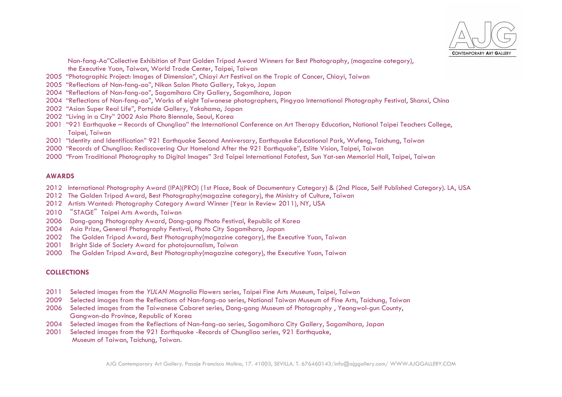

Nan-fang-Ao"Collective Exhibition of Past Golden Tripod Award Winners for Best Photography, (magazine category), the Executive Yuan, Taiwan, World Trade Center, Taipei, Taiwan

- 2005 "Photographic Project: Images of Dimension", Chiayi Art Festival on the Tropic of Cancer, Chiayi, Taiwan
- 2005 "Reflections of Nan-fang-ao", Nikon Salon Photo Gallery, Tokyo, Japan
- 2004 "Reflections of Nan-fang-ao", Sagamihara City Gallery, Sagamihara, Japan
- 2004 "Reflections of Nan-fang-ao", Works of eight Taiwanese photographers, Pingyao International Photography Festival, Shanxi, China
- 2002 "Asian Super Real Life", Portside Gallery, Yokohama, Japan
- 2002 "Living in a City" 2002 Asia Photo Biennale, Seoul, Korea
- 2001 "921 Earthquake Records of Chungliao" the International Conference on Art Therapy Education, National Taipei Teachers College, Taipei, Taiwan
- 2001 "Identity and Identification" 921 Earthquake Second Anniversary, Earthquake Educational Park, Wufeng, Taichung, Taiwan
- 2000 "Records of Chungliao: Rediscovering Our Homeland After the 921 Earthquake", Eslite Vision, Taipei, Taiwan
- 2000 "From Traditional Photography to Digital Images" 3rd Taipei International Fotofest, Sun Yat-sen Memorial Hall, Taipei, Taiwan

#### **AWARDS**

- 2012 International Photography Award (IPA)(PRO) (1st Place, Book of Documentary Category) & (2nd Place, Self Published Category). LA, USA
- 2012 The Golden Tripod Award, Best Photography(magazine category), the Ministry of Culture, Taiwan
- 2012 Artists Wanted: Photography Category Award Winner (Year in Review 2011), NY, USA
- 2010 "STAGE" Taipei Arts Awards, Taiwan
- 2006 Dong-gang Photography Award, Dong-gang Photo Festival, Republic of Korea
- 2004 Asia Prize, General Photography Festival, Photo City Sagamihara, Japan
- 2002 The Golden Tripod Award, Best Photography(magazine category), the Executive Yuan, Taiwan
- 2001 Bright Side of Society Award for photojournalism, Taiwan
- 2000 The Golden Tripod Award, Best Photography(magazine category), the Executive Yuan, Taiwan

## **COLLECTIONS**

- 2011 Selected images from the *YULAN* Magnolia Flowers series, Taipei Fine Arts Museum, Taipei, Taiwan
- 2009 Selected images from the Reflections of Nan-fang-ao series, National Taiwan Museum of Fine Arts, Taichung, Taiwan
- 2006 Selected images from the Taiwanese Cabaret series, Dong-gang Museum of Photography , Yeongwol-gun County, Gangwon-do Province, Republic of Korea
- 2004 Selected images from the Reflections of Nan-fang-ao series, Sagamihara City Gallery, Sagamihara, Japan
- 2001 Selected images from the 921 Earthquake -Records of Chungliao series, 921 Earthquake, Museum of Taiwan, Taichung, Taiwan.